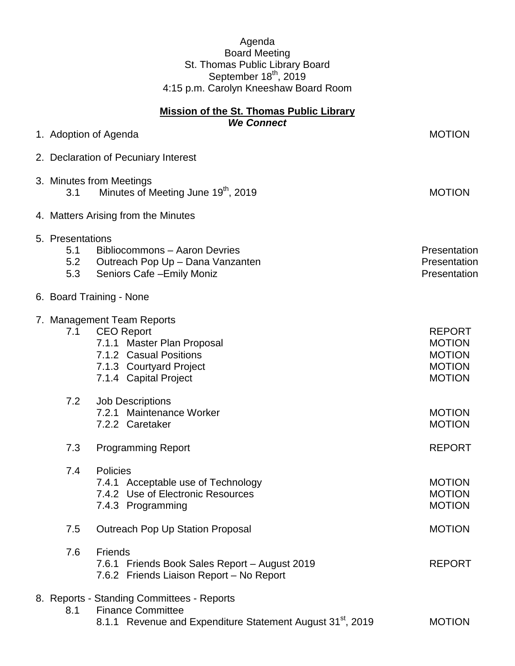## Agenda Board Meeting St. Thomas Public Library Board September 18<sup>th</sup>, 2019 4:15 p.m. Carolyn Kneeshaw Board Room

| <b>Mission of the St. Thomas Public Library</b> |                                       |                                                                                                                                                             |                                                                                   |
|-------------------------------------------------|---------------------------------------|-------------------------------------------------------------------------------------------------------------------------------------------------------------|-----------------------------------------------------------------------------------|
|                                                 |                                       | <b>We Connect</b><br>1. Adoption of Agenda                                                                                                                  | <b>MOTION</b>                                                                     |
|                                                 |                                       | 2. Declaration of Pecuniary Interest                                                                                                                        |                                                                                   |
|                                                 |                                       |                                                                                                                                                             |                                                                                   |
|                                                 | 3.1                                   | 3. Minutes from Meetings<br>Minutes of Meeting June 19 <sup>th</sup> , 2019                                                                                 | <b>MOTION</b>                                                                     |
|                                                 | 4. Matters Arising from the Minutes   |                                                                                                                                                             |                                                                                   |
|                                                 | 5. Presentations<br>5.1<br>5.2<br>5.3 | Bibliocommons - Aaron Devries<br>Outreach Pop Up - Dana Vanzanten<br>Seniors Cafe - Emily Moniz                                                             | Presentation<br>Presentation<br>Presentation                                      |
|                                                 | 6. Board Training - None              |                                                                                                                                                             |                                                                                   |
|                                                 | 7.1                                   | 7. Management Team Reports<br><b>CEO Report</b><br>7.1.1 Master Plan Proposal<br>7.1.2 Casual Positions<br>7.1.3 Courtyard Project<br>7.1.4 Capital Project | <b>REPORT</b><br><b>MOTION</b><br><b>MOTION</b><br><b>MOTION</b><br><b>MOTION</b> |
|                                                 | 7.2                                   | <b>Job Descriptions</b><br>7.2.1 Maintenance Worker<br>7.2.2 Caretaker                                                                                      | <b>MOTION</b><br><b>MOTION</b>                                                    |
|                                                 | 7.3                                   | <b>Programming Report</b>                                                                                                                                   | <b>REPORT</b>                                                                     |
|                                                 | 7.4                                   | Policies<br>7.4.1 Acceptable use of Technology<br>7.4.2 Use of Electronic Resources<br>7.4.3 Programming                                                    | <b>MOTION</b><br><b>MOTION</b><br><b>MOTION</b>                                   |
|                                                 | 7.5                                   | <b>Outreach Pop Up Station Proposal</b>                                                                                                                     | <b>MOTION</b>                                                                     |
|                                                 | 7.6                                   | Friends<br>7.6.1 Friends Book Sales Report - August 2019<br>7.6.2 Friends Liaison Report - No Report                                                        | <b>REPORT</b>                                                                     |
|                                                 | 8.1                                   | 8. Reports - Standing Committees - Reports<br><b>Finance Committee</b><br>8.1.1 Revenue and Expenditure Statement August 31 <sup>st</sup> , 2019            | <b>MOTION</b>                                                                     |